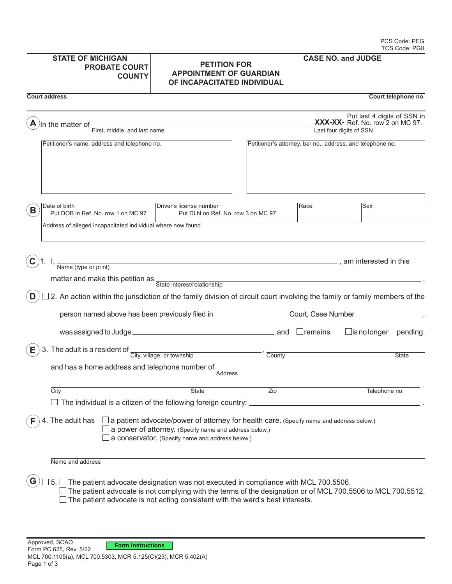| <b>STATE OF MICHIGAN</b><br><b>PROBATE COURT</b><br><b>COUNTY</b>                                                                                                     | <b>PETITION FOR</b><br><b>APPOINTMENT OF GUARDIAN</b><br>OF INCAPACITATED INDIVIDUAL                                                                                                                                                                                                                                                      |      | <b>CASE NO. and JUDGE</b>                                                                  |                     |
|-----------------------------------------------------------------------------------------------------------------------------------------------------------------------|-------------------------------------------------------------------------------------------------------------------------------------------------------------------------------------------------------------------------------------------------------------------------------------------------------------------------------------------|------|--------------------------------------------------------------------------------------------|---------------------|
| <b>Court address</b>                                                                                                                                                  |                                                                                                                                                                                                                                                                                                                                           |      |                                                                                            | Court telephone no. |
| In the matter of<br>First, middle, and last name                                                                                                                      |                                                                                                                                                                                                                                                                                                                                           |      | Put last 4 digits of SSN in<br>XXX-XX- Ref. No. row 2 on MC 97.<br>Last four digits of SSN |                     |
| Petitioner's name, address and telephone no.                                                                                                                          |                                                                                                                                                                                                                                                                                                                                           |      | Petitioner's attorney, bar no., address, and telephone no.                                 |                     |
| Date of birth                                                                                                                                                         | Driver's license number                                                                                                                                                                                                                                                                                                                   | Race | Sex                                                                                        |                     |
| B<br>Put DOB in Ref. No. row 1 on MC 97<br>Address of alleged incapacitated individual where now found                                                                | Put DLN on Ref. No. row 3 on MC 97                                                                                                                                                                                                                                                                                                        |      |                                                                                            |                     |
| Name (type or print)<br>matter and make this petition as State interest/relationship<br>D                                                                             | the control of the control of the control of the control of the control of the control of<br>2. An action within the jurisdiction of the family division of circuit court involving the family or family members of the<br>person named above has been previously filed in _______________________Court, Case Number ____________________ |      |                                                                                            |                     |
|                                                                                                                                                                       | was assigned to Judge $\_\_$ meson and $\_\_$ and $\_\_$ remains                                                                                                                                                                                                                                                                          |      | $\Box$ is no longer pending.                                                               |                     |
| 3. The adult is a resident of $\frac{C_{\text{ity, village, or township}}}{\text{City, village, or township}}$<br>Е<br>and has a home address and telephone number of | County<br><b>Address</b>                                                                                                                                                                                                                                                                                                                  |      |                                                                                            | <b>State</b>        |
| City                                                                                                                                                                  | State<br>Zip                                                                                                                                                                                                                                                                                                                              |      | Telephone no.                                                                              |                     |
|                                                                                                                                                                       | $\Box$ The individual is a citizen of the following foreign country: $\_\_$                                                                                                                                                                                                                                                               |      |                                                                                            |                     |
| 4. The adult has                                                                                                                                                      | $\Box$ a patient advocate/power of attorney for health care. (Specify name and address below.)<br>a power of attorney. (Specify name and address below.)<br>a conservator. (Specify name and address below.)                                                                                                                              |      |                                                                                            |                     |
| Name and address                                                                                                                                                      |                                                                                                                                                                                                                                                                                                                                           |      |                                                                                            |                     |
| 5.                                                                                                                                                                    | The patient advocate designation was not executed in compliance with MCL 700.5506.<br>The patient advocate is not complying with the terms of the designation or of MCL 700.5506 to MCL 700.5512.                                                                                                                                         |      |                                                                                            |                     |

 $\Box$  The patient advocate is not acting consistent with the ward's best interests.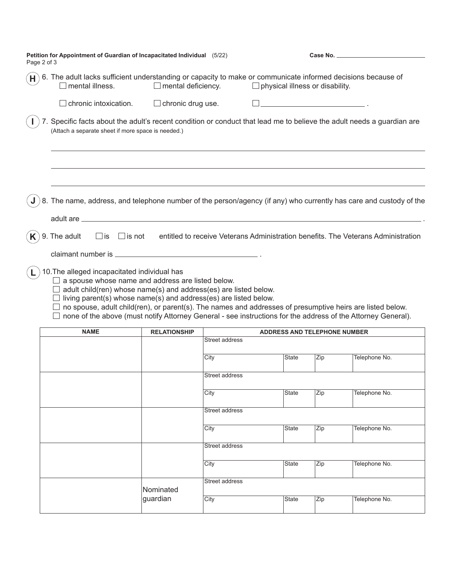| Page 2 of 3 | Petition for Appointment of Guardian of Incapacitated Individual (5/22)                                                                                                                                                                                                                                                                                                                                                                                                                            |                           |                |                                        |     |                                                                                   |
|-------------|----------------------------------------------------------------------------------------------------------------------------------------------------------------------------------------------------------------------------------------------------------------------------------------------------------------------------------------------------------------------------------------------------------------------------------------------------------------------------------------------------|---------------------------|----------------|----------------------------------------|-----|-----------------------------------------------------------------------------------|
| H           | 6. The adult lacks sufficient understanding or capacity to make or communicate informed decisions because of<br>mental illness.                                                                                                                                                                                                                                                                                                                                                                    | $\Box$ mental deficiency. |                | $\Box$ physical illness or disability. |     |                                                                                   |
|             | $\Box$ chronic intoxication.                                                                                                                                                                                                                                                                                                                                                                                                                                                                       | $\Box$ chronic drug use.  |                |                                        |     |                                                                                   |
|             | 7. Specific facts about the adult's recent condition or conduct that lead me to believe the adult needs a guardian are<br>(Attach a separate sheet if more space is needed.)                                                                                                                                                                                                                                                                                                                       |                           |                |                                        |     |                                                                                   |
|             | 8. The name, address, and telephone number of the person/agency (if any) who currently has care and custody of the                                                                                                                                                                                                                                                                                                                                                                                 |                           |                |                                        |     |                                                                                   |
|             | adult are ____                                                                                                                                                                                                                                                                                                                                                                                                                                                                                     |                           |                |                                        |     |                                                                                   |
|             | 9. The adult<br>$\Box$ is not<br>$\Box$ is                                                                                                                                                                                                                                                                                                                                                                                                                                                         |                           |                |                                        |     | entitled to receive Veterans Administration benefits. The Veterans Administration |
|             | 10. The alleged incapacitated individual has<br>$\Box$ a spouse whose name and address are listed below.<br>$\Box$ adult child(ren) whose name(s) and address(es) are listed below.<br>$\Box$ living parent(s) whose name(s) and address(es) are listed below.<br>$\Box$ no spouse, adult child(ren), or parent(s). The names and addresses of presumptive heirs are listed below.<br>none of the above (must notify Attorney General - see instructions for the address of the Attorney General). |                           |                |                                        |     |                                                                                   |
|             | <b>NAME</b>                                                                                                                                                                                                                                                                                                                                                                                                                                                                                        | <b>RELATIONSHIP</b>       |                | <b>ADDRESS AND TELEPHONE NUMBER</b>    |     |                                                                                   |
|             |                                                                                                                                                                                                                                                                                                                                                                                                                                                                                                    |                           | Street address |                                        |     |                                                                                   |
|             |                                                                                                                                                                                                                                                                                                                                                                                                                                                                                                    |                           | City           | State                                  | Zip | Telephone No.                                                                     |
|             |                                                                                                                                                                                                                                                                                                                                                                                                                                                                                                    |                           | Street address |                                        |     |                                                                                   |
|             |                                                                                                                                                                                                                                                                                                                                                                                                                                                                                                    |                           | City           | <b>State</b>                           | Zip | Telephone No.                                                                     |
|             |                                                                                                                                                                                                                                                                                                                                                                                                                                                                                                    |                           | Street address |                                        |     |                                                                                   |
|             |                                                                                                                                                                                                                                                                                                                                                                                                                                                                                                    |                           | City           | <b>State</b>                           | Zip | Telephone No.                                                                     |
|             |                                                                                                                                                                                                                                                                                                                                                                                                                                                                                                    |                           | Street address |                                        |     |                                                                                   |
|             |                                                                                                                                                                                                                                                                                                                                                                                                                                                                                                    |                           | City           | <b>State</b>                           | Zip | Telephone No.                                                                     |
|             |                                                                                                                                                                                                                                                                                                                                                                                                                                                                                                    |                           | Street address |                                        |     |                                                                                   |
|             |                                                                                                                                                                                                                                                                                                                                                                                                                                                                                                    | Nominated                 |                |                                        |     |                                                                                   |
|             |                                                                                                                                                                                                                                                                                                                                                                                                                                                                                                    | guardian                  | City           | State                                  | Zip | Telephone No.                                                                     |